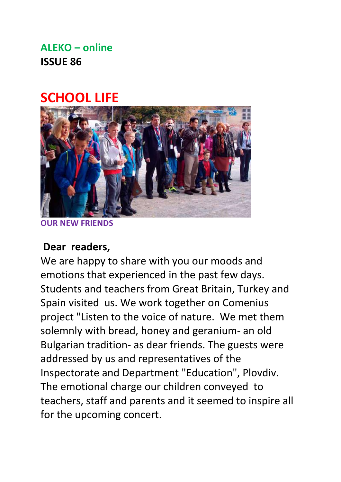### **ALEKO – online ISSUE 86**

### **SCHOOL LIFE**



**OUR NEW FRIENDS**

#### **Dear readers,**

We are happy to share with you our moods and emotions that experienced in the past few days. Students and teachers from Great Britain, Turkey and Spain visited us. We work together on Comenius project "Listen to the voice of nature. We met them solemnly with bread, honey and geranium- an old Bulgarian tradition- as dear friends. The guests were addressed by us and representatives of the Inspectorate and Department "Education", Plovdiv. The emotional charge our children conveyed to teachers, staff and parents and it seemed to inspire all for the upcoming concert.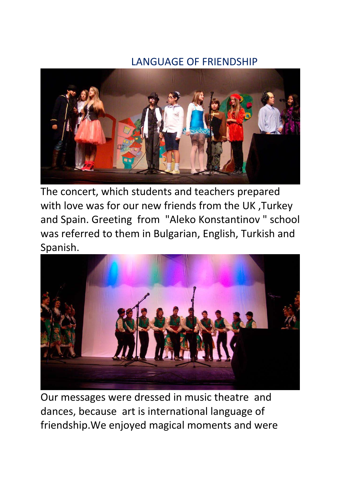#### LANGUAGE OF FRIENDSHIP



The concert, which students and teachers prepared with love was for our new friends from the UK ,Turkey and Spain. Greeting from "Aleko Konstantinov " school was referred to them in Bulgarian, English, Turkish and Spanish.



Our messages were dressed in music theatre and dances, because art is international language of friendship.We enjoyed magical moments and were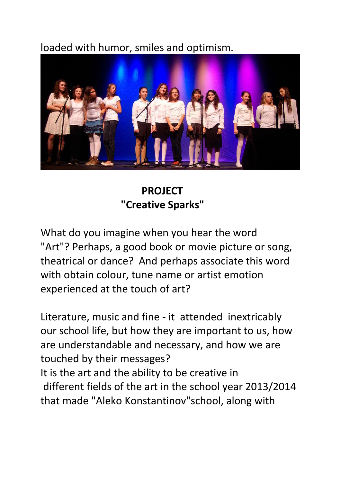### loaded with humor, smiles and optimism.



 **PROJECT "Creative Sparks"**

What do you imagine when you hear the word "Art"? Perhaps, a good book or movie picture or song, theatrical or dance? And perhaps associate this word with obtain colour, tune name or artist emotion experienced at the touch of art?

Literature, music and fine - it attended inextricably our school life, but how they are important to us, how are understandable and necessary, and how we are touched by their messages?

It is the art and the ability to be creative in different fields of the art in the school year 2013/2014 that made "Aleko Konstantinov"school, along with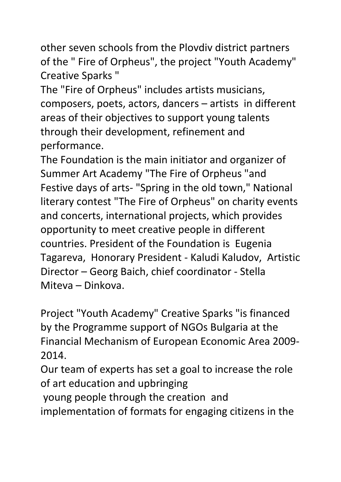other seven schools from the Plovdiv district partners of the " Fire of Orpheus", the project "Youth Academy" Creative Sparks "

The "Fire of Orpheus" includes artists musicians, composers, poets, actors, dancers – artists in different areas of their objectives to support young talents through their development, refinement and performance.

The Foundation is the main initiator and organizer of Summer Art Academy "The Fire of Orpheus "and Festive days of arts- "Spring in the old town," National literary contest "The Fire of Orpheus" on charity events and concerts, international projects, which provides opportunity to meet creative people in different countries. President of the Foundation is Eugenia Tagareva, Honorary President - Kaludi Kaludov, Artistic Director – Georg Baich, chief coordinator - Stella Miteva – Dinkova.

Project "Youth Academy" Creative Sparks "is financed by the Programme support of NGOs Bulgaria at the Financial Mechanism of European Economic Area 2009- 2014.

Our team of experts has set a goal to increase the role of art education and upbringing

young people through the creation and

implementation of formats for engaging citizens in the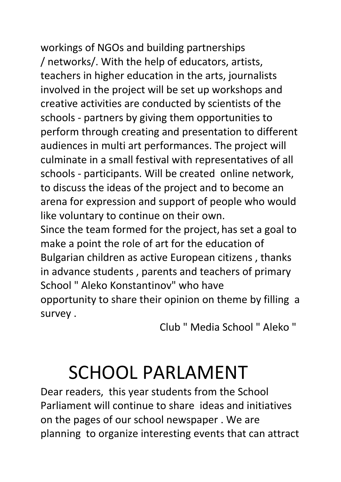workings of NGOs and building partnerships / networks/. With the help of educators, artists, teachers in higher education in the arts, journalists involved in the project will be set up workshops and creative activities are conducted by scientists of the schools - partners by giving them opportunities to perform through creating and presentation to different audiences in multi art performances. The project will culminate in a small festival with representatives of all schools - participants. Will be created online network, to discuss the ideas of the project and to become an arena for expression and support of people who would like voluntary to continue on their own.

Since the team formed for the project, has set a goal to make a point the role of art for the education of Bulgarian children as active European citizens , thanks in advance students , parents and teachers of primary School " Aleko Konstantinov" who have opportunity to share their opinion on theme by filling a survey .

Club " Media School " Aleko "

# SCHOOL PARLAMENT

Dear readers, this year students from the School Parliament will continue to share ideas and initiatives on the pages of our school newspaper . We are planning to organize interesting events that can attract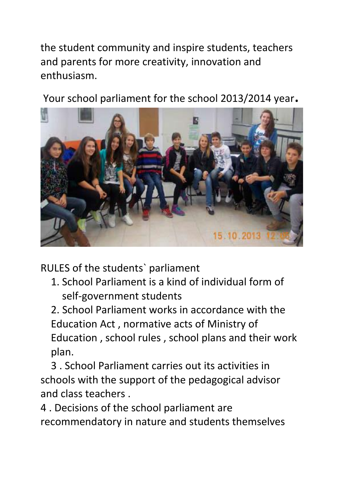the student community and inspire students, teachers and parents for more creativity, innovation and enthusiasm.

Your school parliament for the school 2013/2014 year.



RULES of the students` parliament

1. School Parliament is a kind of individual form of self-government students

2. School Parliament works in accordance with the Education Act , normative acts of Ministry of Education , school rules , school plans and their work plan.

 3 . School Parliament carries out its activities in schools with the support of the pedagogical advisor and class teachers .

4 . Decisions of the school parliament are recommendatory in nature and students themselves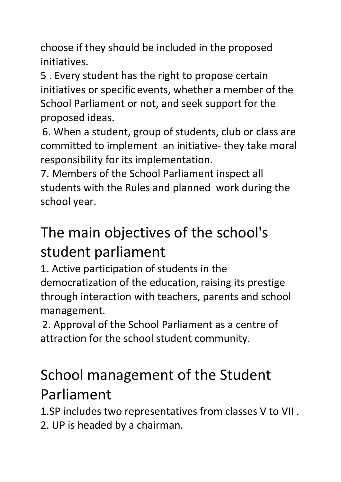choose if they should be included in the proposed initiatives.

5 . Every student has the right to propose certain initiatives or specific events, whether a member of the School Parliament or not, and seek support for the proposed ideas.

6. When a student, group of students, club or class are committed to implement an initiative- they take moral responsibility for its implementation.

7. Members of the School Parliament inspect all students with the Rules and planned work during the school year.

## The main objectives of the school's student parliament

1. Active participation of students in the democratization of the education, raising its prestige through interaction with teachers, parents and school management.

2. Approval of the School Parliament as a centre of attraction for the school student community.

## School management of the Student Parliament

1.SP includes two representatives from classes V to VII . 2. UP is headed by a chairman.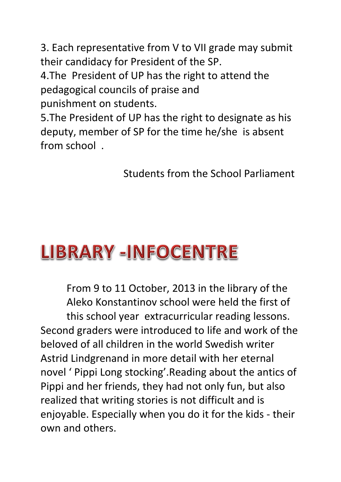3. Each representative from V to VII grade may submit their candidacy for President of the SP.

4.The President of UP has the right to attend the pedagogical councils of praise and punishment on students.

5.The President of UP has the right to designate as his deputy, member of SP for the time he/she is absent from school .

Students from the School Parliament

## **LIBRARY -INFOCENTRE**

From 9 to 11 October, 2013 in the library of thе Aleko Konstantinov school were held the first of this school year extracurricular reading lessons. Second graders were introduced to life and work of the beloved of all children in the world Swedish writer Astrid Lindgrenand in more detail with her eternal novel ' Pippi Long stocking'.Reading about the antics of Pippi and her friends, they had not only fun, but also realized that writing stories is not difficult and is enjoyable. Especially when you do it for the kids - their own and others.